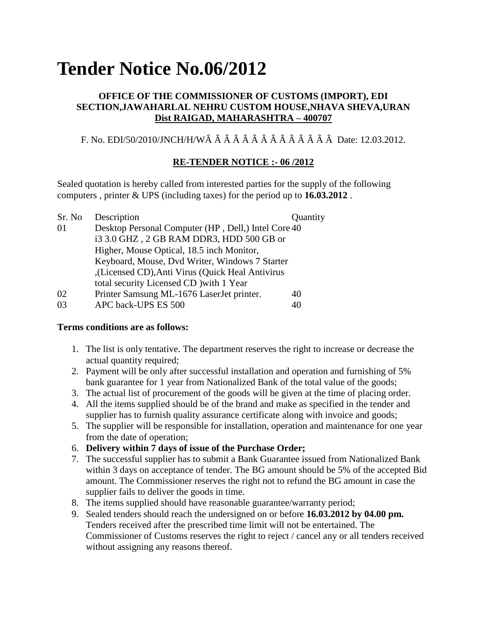# **Tender Notice No.06/2012**

# **OFFICE OF THE COMMISSIONER OF CUSTOMS (IMPORT), EDI SECTION,JAWAHARLAL NEHRU CUSTOM HOUSE,NHAVA SHEVA,URAN Dist RAIGAD, MAHARASHTRA – 400707**

F. No. EDI/50/2010/JNCH/H/WÂ Â Â Â Â Â Â Â Â Â Â Â Â Â Date: 12.03.2012.

# **RE-TENDER NOTICE :- 06 /2012**

Sealed quotation is hereby called from interested parties for the supply of the following computers , printer & UPS (including taxes) for the period up to **16.03.2012** .

| Sr. No | Description                                         | Quantity |
|--------|-----------------------------------------------------|----------|
| -01    | Desktop Personal Computer (HP, Dell,) Intel Core 40 |          |
|        | i3 3.0 GHZ, 2 GB RAM DDR3, HDD 500 GB or            |          |
|        | Higher, Mouse Optical, 18.5 inch Monitor,           |          |
|        | Keyboard, Mouse, Dvd Writer, Windows 7 Starter      |          |
|        | ,(Licensed CD), Anti Virus (Quick Heal Antivirus),  |          |
|        | total security Licensed CD ) with 1 Year            |          |
| 02     | Printer Samsung ML-1676 LaserJet printer.           | 40       |
| 03     | APC back-UPS ES 500                                 | 40       |

#### **Terms conditions are as follows:**

- 1. The list is only tentative. The department reserves the right to increase or decrease the actual quantity required;
- 2. Payment will be only after successful installation and operation and furnishing of 5% bank guarantee for 1 year from Nationalized Bank of the total value of the goods;
- 3. The actual list of procurement of the goods will be given at the time of placing order.
- 4. All the items supplied should be of the brand and make as specified in the tender and supplier has to furnish quality assurance certificate along with invoice and goods;
- 5. The supplier will be responsible for installation, operation and maintenance for one year from the date of operation;
- 6. **Delivery within 7 days of issue of the Purchase Order;**
- 7. The successful supplier has to submit a Bank Guarantee issued from Nationalized Bank within 3 days on acceptance of tender. The BG amount should be 5% of the accepted Bid amount. The Commissioner reserves the right not to refund the BG amount in case the supplier fails to deliver the goods in time.
- 8. The items supplied should have reasonable guarantee/warranty period;
- 9. Sealed tenders should reach the undersigned on or before **16.03.2012 by 04.00 pm.** Tenders received after the prescribed time limit will not be entertained. The Commissioner of Customs reserves the right to reject / cancel any or all tenders received without assigning any reasons thereof.